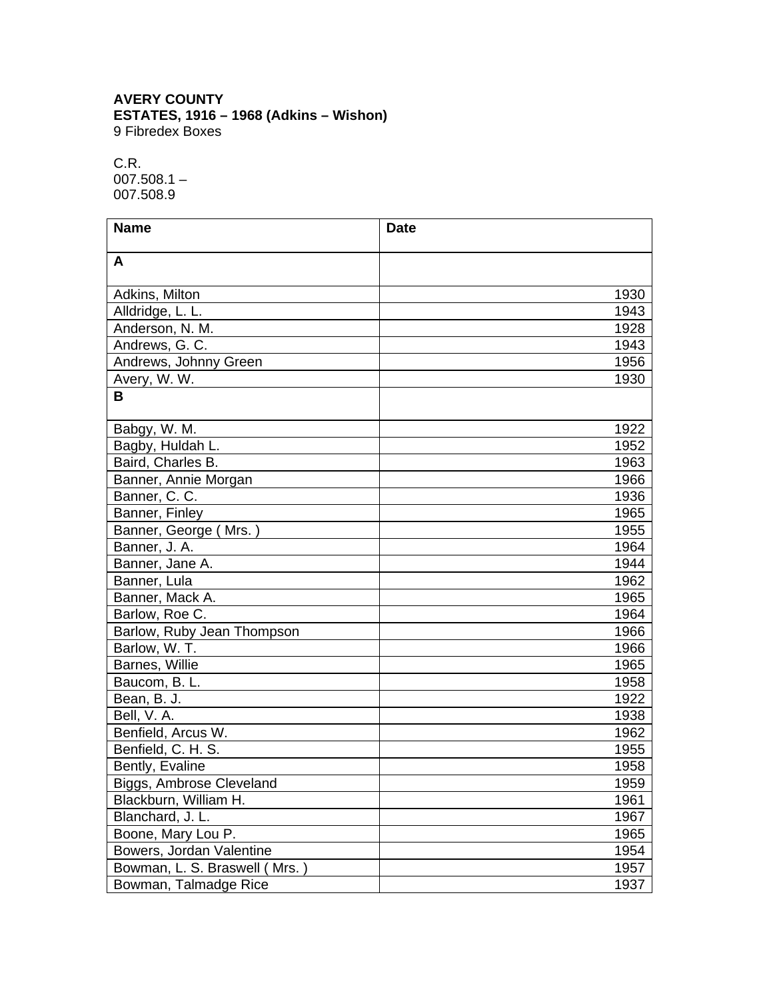## **AVERY COUNTY ESTATES, 1916 – 1968 (Adkins – Wishon)** 9 Fibredex Boxes

C.R. 007.508.1 – 007.508.9

| <b>Name</b>                   | <b>Date</b> |      |
|-------------------------------|-------------|------|
| A                             |             |      |
|                               |             |      |
| Adkins, Milton                |             | 1930 |
| Alldridge, L. L.              |             | 1943 |
| Anderson, N. M.               |             | 1928 |
| Andrews, G. C.                |             | 1943 |
| Andrews, Johnny Green         |             | 1956 |
| Avery, W. W.                  |             | 1930 |
| B                             |             |      |
|                               |             |      |
| Babgy, W. M.                  |             | 1922 |
| Bagby, Huldah L.              |             | 1952 |
| Baird, Charles B.             |             | 1963 |
| Banner, Annie Morgan          |             | 1966 |
| Banner, C. C.                 |             | 1936 |
| Banner, Finley                |             | 1965 |
| Banner, George (Mrs.)         |             | 1955 |
| Banner, J. A.                 |             | 1964 |
| Banner, Jane A.               |             | 1944 |
| Banner, Lula                  |             | 1962 |
| Banner, Mack A.               |             | 1965 |
| Barlow, Roe C.                |             | 1964 |
| Barlow, Ruby Jean Thompson    |             | 1966 |
| Barlow, W. T.                 |             | 1966 |
| Barnes, Willie                |             | 1965 |
| Baucom, B. L.                 |             | 1958 |
| Bean, B. J.                   |             | 1922 |
| Bell, V. A.                   |             | 1938 |
| Benfield, Arcus W.            |             | 1962 |
| Benfield, C. H. S.            |             | 1955 |
| Bently, Evaline               |             | 1958 |
| Biggs, Ambrose Cleveland      |             | 1959 |
| Blackburn, William H.         |             | 1961 |
| Blanchard, J. L.              |             | 1967 |
| Boone, Mary Lou P.            |             | 1965 |
| Bowers, Jordan Valentine      |             | 1954 |
| Bowman, L. S. Braswell (Mrs.) |             | 1957 |
| Bowman, Talmadge Rice         |             | 1937 |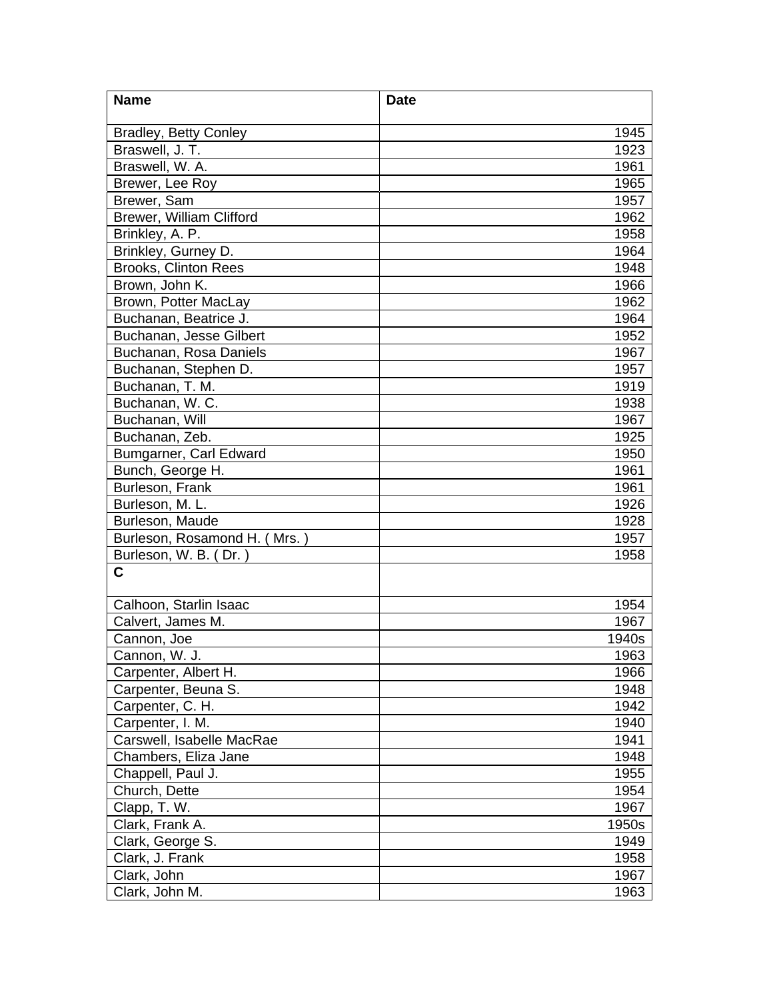| <b>Name</b>                  | <b>Date</b> |
|------------------------------|-------------|
| <b>Bradley, Betty Conley</b> | 1945        |
| Braswell, J. T.              | 1923        |
| Braswell, W. A.              | 1961        |
| Brewer, Lee Roy              | 1965        |
| Brewer, Sam                  | 1957        |
| Brewer, William Clifford     | 1962        |
| Brinkley, A. P.              | 1958        |
| Brinkley, Gurney D.          | 1964        |
| <b>Brooks, Clinton Rees</b>  | 1948        |
| Brown, John K.               | 1966        |
| Brown, Potter MacLay         | 1962        |
| Buchanan, Beatrice J.        | 1964        |
| Buchanan, Jesse Gilbert      | 1952        |
| Buchanan, Rosa Daniels       | 1967        |
| Buchanan, Stephen D.         | 1957        |
| Buchanan, T. M.              | 1919        |
| Buchanan, W. C.              | 1938        |
| Buchanan, Will               | 1967        |
| Buchanan, Zeb.               | 1925        |
| Bumgarner, Carl Edward       | 1950        |
| Bunch, George H.             | 1961        |
| Burleson, Frank              | 1961        |
| Burleson, M. L.              | 1926        |
| Burleson, Maude              | 1928        |
| Burleson, Rosamond H. (Mrs.) | 1957        |
| Burleson, W. B. (Dr.)        | 1958        |
| $\mathbf c$                  |             |
| Calhoon, Starlin Isaac       | 1954        |
| Calvert, James M.            | 1967        |
| Cannon, Joe                  | 1940s       |
| Cannon, W. J.                | 1963        |
| Carpenter, Albert H.         | 1966        |
| Carpenter, Beuna S.          | 1948        |
| Carpenter, C. H.             | 1942        |
| Carpenter, I. M.             | 1940        |
| Carswell, Isabelle MacRae    | 1941        |
| Chambers, Eliza Jane         | 1948        |
| Chappell, Paul J.            | 1955        |
| Church, Dette                | 1954        |
| Clapp, T. W.                 | 1967        |
| Clark, Frank A.              | 1950s       |
| Clark, George S.             | 1949        |
| Clark, J. Frank              | 1958        |
| Clark, John                  | 1967        |
| Clark, John M.               | 1963        |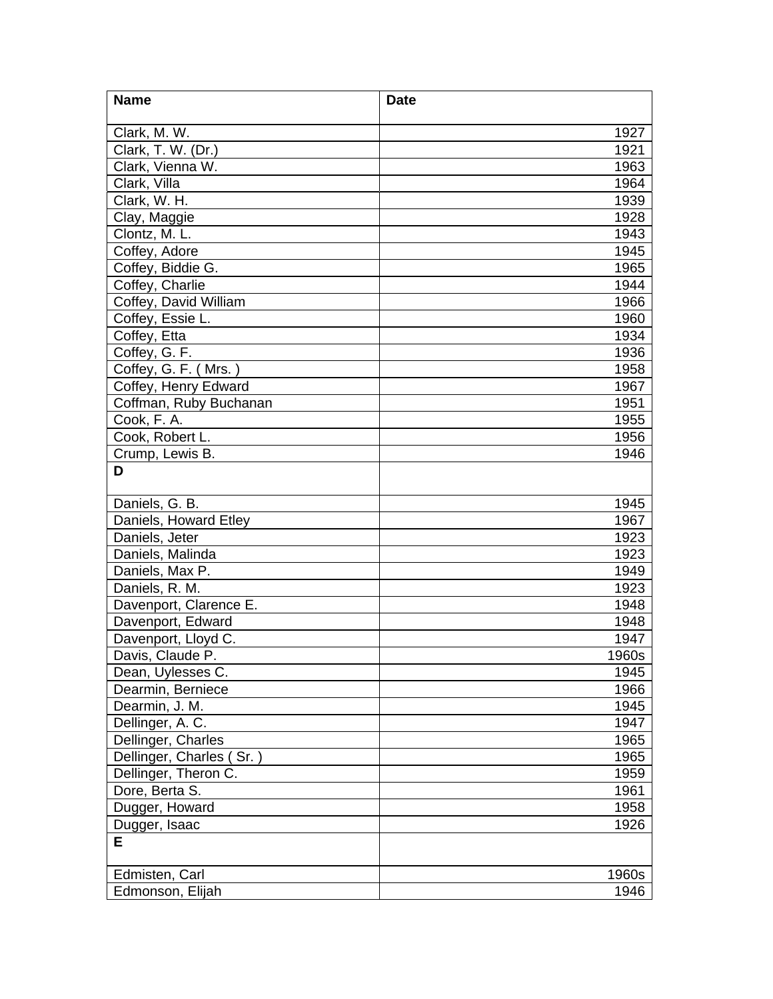| <b>Name</b>                         | <b>Date</b>  |
|-------------------------------------|--------------|
| Clark, M. W.                        | 1927         |
| Clark, T. W. (Dr.)                  | 1921         |
| Clark, Vienna W.                    | 1963         |
| Clark, Villa                        | 1964         |
| Clark, W. H.                        | 1939         |
| Clay, Maggie                        | 1928         |
| Clontz, M. L.                       | 1943         |
| Coffey, Adore                       | 1945         |
| Coffey, Biddie G.                   | 1965         |
| Coffey, Charlie                     | 1944         |
| Coffey, David William               | 1966         |
| Coffey, Essie L.                    | 1960         |
| Coffey, Etta                        | 1934         |
| Coffey, G. F.                       | 1936         |
| Coffey, G. F. (Mrs.)                | 1958         |
| Coffey, Henry Edward                | 1967         |
| Coffman, Ruby Buchanan              | 1951         |
| Cook, F. A.                         | 1955         |
| Cook, Robert L.                     | 1956         |
| Crump, Lewis B.                     | 1946         |
| D                                   |              |
|                                     |              |
| Daniels, G. B.                      | 1945         |
| Daniels, Howard Etley               | 1967         |
| Daniels, Jeter                      | 1923         |
| Daniels, Malinda                    | 1923         |
| Daniels, Max P.                     | 1949         |
| Daniels, R. M.                      | 1923         |
| Davenport, Clarence E.              | 1948         |
| Davenport, Edward                   | 1948         |
| Davenport, Lloyd C.                 | 1947         |
| Davis, Claude P.                    | 1960s        |
| Dean, Uylesses C.                   | 1945         |
| Dearmin, Berniece<br>Dearmin, J. M. | 1966<br>1945 |
| Dellinger, A. C.                    | 1947         |
| Dellinger, Charles                  | 1965         |
| Dellinger, Charles (Sr.)            | 1965         |
| Dellinger, Theron C.                | 1959         |
| Dore, Berta S.                      | 1961         |
| Dugger, Howard                      | 1958         |
| Dugger, Isaac                       | 1926         |
| E                                   |              |
|                                     |              |
| Edmisten, Carl                      | 1960s        |
| Edmonson, Elijah                    | 1946         |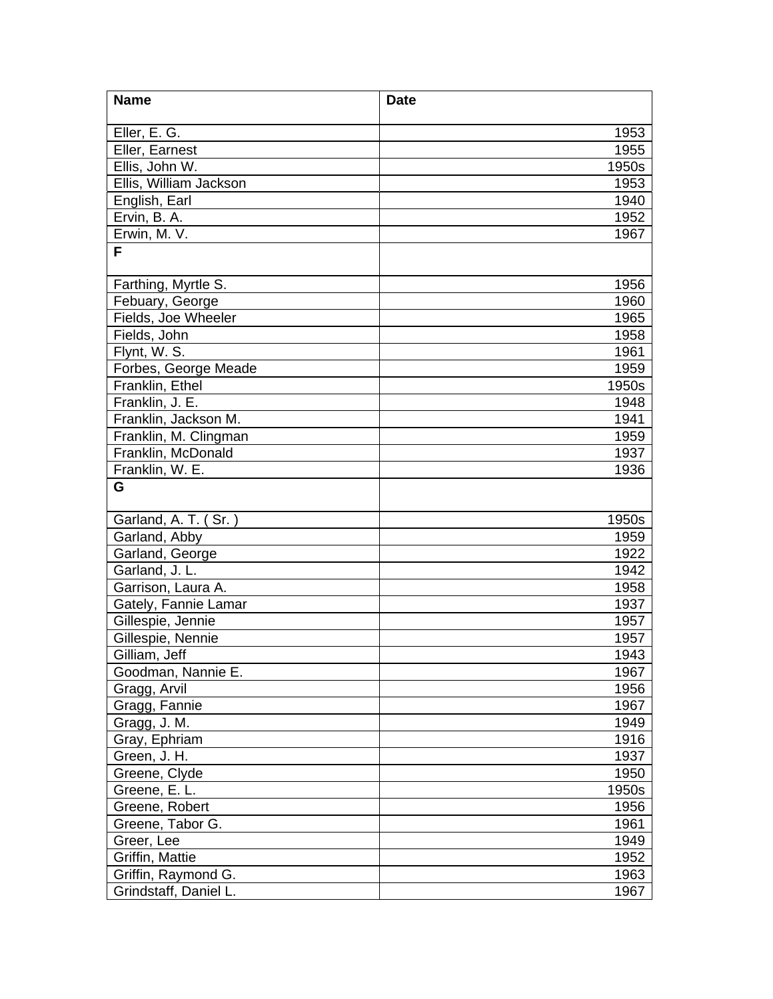| <b>Name</b>            | <b>Date</b> |
|------------------------|-------------|
| Eller, E. G.           | 1953        |
| Eller, Earnest         | 1955        |
| Ellis, John W.         | 1950s       |
| Ellis, William Jackson | 1953        |
| English, Earl          | 1940        |
| Ervin, B. A.           | 1952        |
| Erwin, M. V.           | 1967        |
| F                      |             |
|                        |             |
| Farthing, Myrtle S.    | 1956        |
| Febuary, George        | 1960        |
| Fields, Joe Wheeler    | 1965        |
| Fields, John           | 1958        |
| Flynt, W. S.           | 1961        |
| Forbes, George Meade   | 1959        |
| Franklin, Ethel        | 1950s       |
| Franklin, J. E.        | 1948        |
| Franklin, Jackson M.   | 1941        |
| Franklin, M. Clingman  | 1959        |
| Franklin, McDonald     | 1937        |
| Franklin, W. E.        | 1936        |
| G                      |             |
| Garland, A. T. (Sr.)   | 1950s       |
| Garland, Abby          | 1959        |
| Garland, George        | 1922        |
| Garland, J. L.         | 1942        |
| Garrison, Laura A.     | 1958        |
| Gately, Fannie Lamar   | 1937        |
| Gillespie, Jennie      | 1957        |
| Gillespie, Nennie      | 1957        |
| Gilliam, Jeff          | 1943        |
| Goodman, Nannie E.     | 1967        |
| Gragg, Arvil           | 1956        |
| Gragg, Fannie          | 1967        |
| Gragg, J. M.           | 1949        |
| Gray, Ephriam          | 1916        |
| Green, J. H.           | 1937        |
| Greene, Clyde          | 1950        |
| Greene, E. L.          | 1950s       |
| Greene, Robert         | 1956        |
| Greene, Tabor G.       | 1961        |
| Greer, Lee             | 1949        |
| Griffin, Mattie        | 1952        |
| Griffin, Raymond G.    | 1963        |
| Grindstaff, Daniel L.  | 1967        |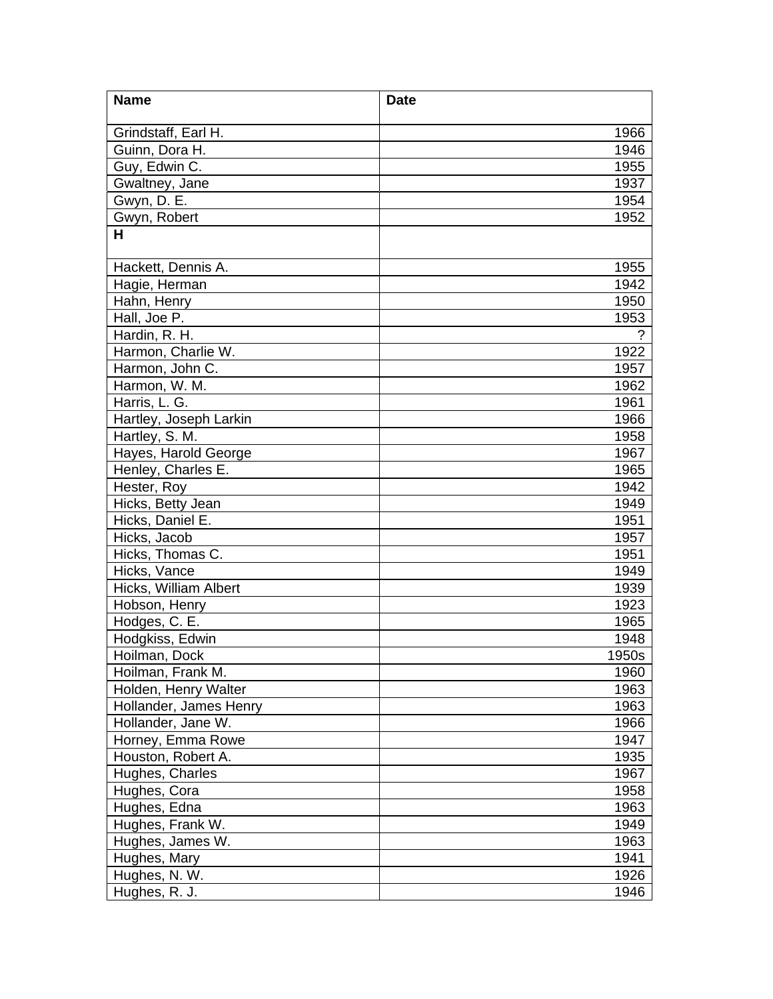| <b>Name</b>                           | <b>Date</b>   |
|---------------------------------------|---------------|
| Grindstaff, Earl H.                   | 1966          |
| Guinn, Dora H.                        | 1946          |
| Guy, Edwin C.                         | 1955          |
| Gwaltney, Jane                        | 1937          |
| Gwyn, D. E.                           | 1954          |
| Gwyn, Robert                          | 1952          |
| Н                                     |               |
| Hackett, Dennis A.                    | 1955          |
| Hagie, Herman                         | 1942          |
| Hahn, Henry                           | 1950          |
| Hall, Joe P.                          | 1953          |
| Hardin, R. H.                         | $\mathcal{P}$ |
| Harmon, Charlie W.                    | 1922          |
| Harmon, John C.                       | 1957          |
| Harmon, W. M.                         | 1962          |
| Harris, L. G.                         | 1961          |
| Hartley, Joseph Larkin                | 1966          |
| Hartley, S. M.                        | 1958          |
| Hayes, Harold George                  | 1967          |
| Henley, Charles E.                    | 1965          |
| Hester, Roy                           | 1942          |
| Hicks, Betty Jean<br>Hicks, Daniel E. | 1949          |
| Hicks, Jacob                          | 1951<br>1957  |
| Hicks, Thomas C.                      | 1951          |
| Hicks, Vance                          | 1949          |
| Hicks, William Albert                 | 1939          |
| Hobson, Henry                         | 1923          |
| Hodges, C. E.                         | 1965          |
| Hodgkiss, Edwin                       | 1948          |
| Hoilman, Dock                         | 1950s         |
| Hoilman, Frank M.                     | 1960          |
| Holden, Henry Walter                  | 1963          |
| Hollander, James Henry                | 1963          |
| Hollander, Jane W.                    | 1966          |
| Horney, Emma Rowe                     | 1947          |
| Houston, Robert A.                    | 1935          |
| Hughes, Charles                       | 1967          |
| Hughes, Cora                          | 1958          |
| Hughes, Edna                          | 1963          |
| Hughes, Frank W.                      | 1949          |
| Hughes, James W.                      | 1963          |
| Hughes, Mary                          | 1941          |
| Hughes, N. W.                         | 1926          |
| Hughes, R. J.                         | 1946          |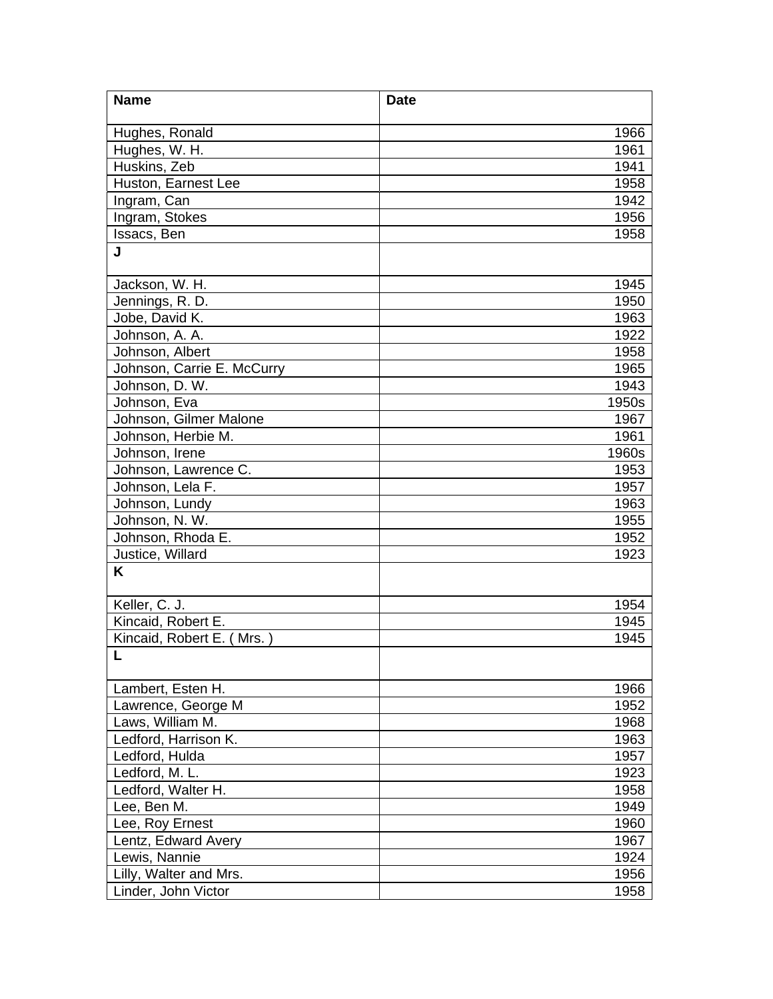| <b>Name</b>                | <b>Date</b> |
|----------------------------|-------------|
| Hughes, Ronald             | 1966        |
| Hughes, W. H.              | 1961        |
| Huskins, Zeb               | 1941        |
| Huston, Earnest Lee        | 1958        |
| Ingram, Can                | 1942        |
| Ingram, Stokes             | 1956        |
| Issacs, Ben                | 1958        |
| J                          |             |
|                            |             |
| Jackson, W. H.             | 1945        |
| Jennings, R. D.            | 1950        |
| Jobe, David K.             | 1963        |
| Johnson, A. A.             | 1922        |
| Johnson, Albert            | 1958        |
| Johnson, Carrie E. McCurry | 1965        |
| Johnson, D. W.             | 1943        |
| Johnson, Eva               | 1950s       |
| Johnson, Gilmer Malone     | 1967        |
| Johnson, Herbie M.         | 1961        |
| Johnson, Irene             | 1960s       |
| Johnson, Lawrence C.       | 1953        |
| Johnson, Lela F.           | 1957        |
| Johnson, Lundy             | 1963        |
| Johnson, N. W.             | 1955        |
| Johnson, Rhoda E.          | 1952        |
| Justice, Willard           | 1923        |
| K                          |             |
| Keller, C. J.              | 1954        |
| Kincaid, Robert E.         | 1945        |
| Kincaid, Robert E. (Mrs.)  | 1945        |
|                            |             |
|                            |             |
| Lambert, Esten H.          | 1966        |
| Lawrence, George M         | 1952        |
| Laws, William M.           | 1968        |
| Ledford, Harrison K.       | 1963        |
| Ledford, Hulda             | 1957        |
| Ledford, M. L.             | 1923        |
| Ledford, Walter H.         | 1958        |
| Lee, Ben M.                | 1949        |
| Lee, Roy Ernest            | 1960        |
| Lentz, Edward Avery        | 1967        |
| Lewis, Nannie              | 1924        |
| Lilly, Walter and Mrs.     | 1956        |
| Linder, John Victor        | 1958        |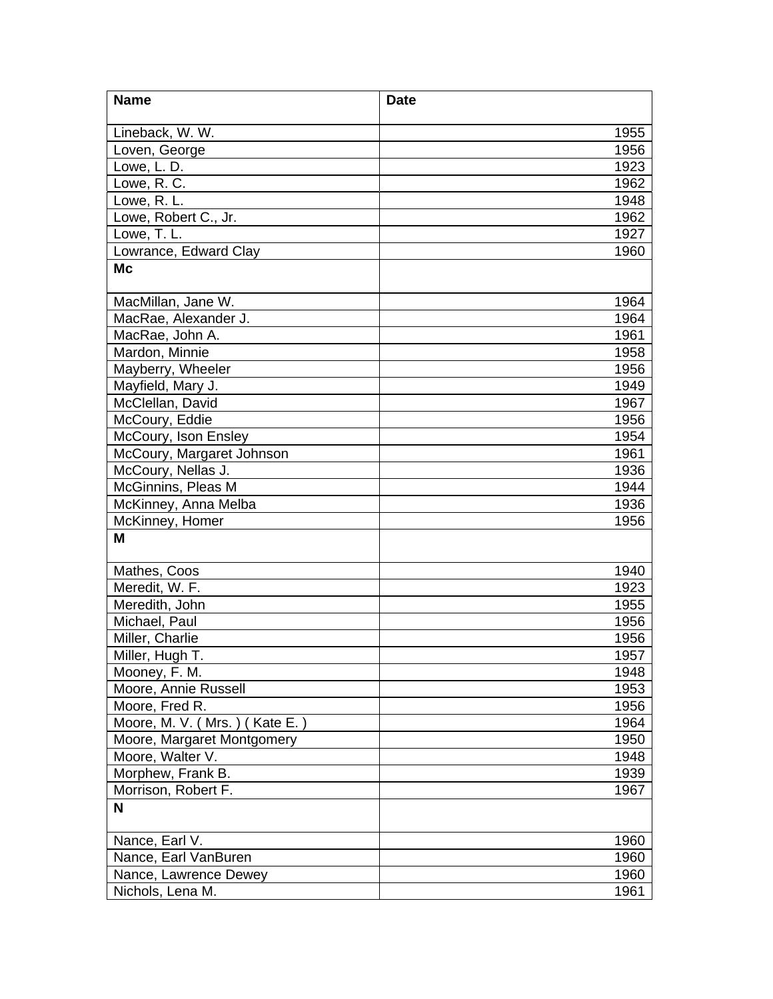| <b>Name</b>                           | <b>Date</b>  |
|---------------------------------------|--------------|
| Lineback, W. W.                       | 1955         |
| Loven, George                         | 1956         |
| Lowe, L. D.                           | 1923         |
| Lowe, R. C.                           | 1962         |
| Lowe, R. L.                           | 1948         |
| Lowe, Robert C., Jr.                  | 1962         |
| Lowe, T. L.                           | 1927         |
| Lowrance, Edward Clay                 | 1960         |
| Mc                                    |              |
|                                       |              |
| MacMillan, Jane W.                    | 1964         |
| MacRae, Alexander J.                  | 1964         |
| MacRae, John A.                       | 1961         |
| Mardon, Minnie                        | 1958         |
| Mayberry, Wheeler                     | 1956         |
| Mayfield, Mary J.                     | 1949         |
| McClellan, David                      | 1967         |
| McCoury, Eddie                        | 1956         |
| McCoury, Ison Ensley                  | 1954         |
| McCoury, Margaret Johnson             | 1961         |
| McCoury, Nellas J.                    | 1936         |
| McGinnins, Pleas M                    | 1944         |
| McKinney, Anna Melba                  | 1936         |
| McKinney, Homer                       | 1956         |
| M                                     |              |
| Mathes, Coos                          | 1940         |
| Meredit, W. F.                        | 1923         |
| Meredith, John                        |              |
| Michael, Paul                         | 1955<br>1956 |
|                                       |              |
| Miller, Charlie                       | 1956         |
| Miller, Hugh T.                       | 1957<br>1948 |
| Mooney, F. M.<br>Moore, Annie Russell |              |
| Moore, Fred R.                        | 1953<br>1956 |
| Moore, M. V. (Mrs.) (Kate E.)         | 1964         |
| Moore, Margaret Montgomery            | 1950         |
| Moore, Walter V.                      | 1948         |
| Morphew, Frank B.                     | 1939         |
| Morrison, Robert F.                   | 1967         |
| N                                     |              |
|                                       |              |
| Nance, Earl V.                        | 1960         |
| Nance, Earl VanBuren                  | 1960         |
| Nance, Lawrence Dewey                 | 1960         |
| Nichols, Lena M.                      | 1961         |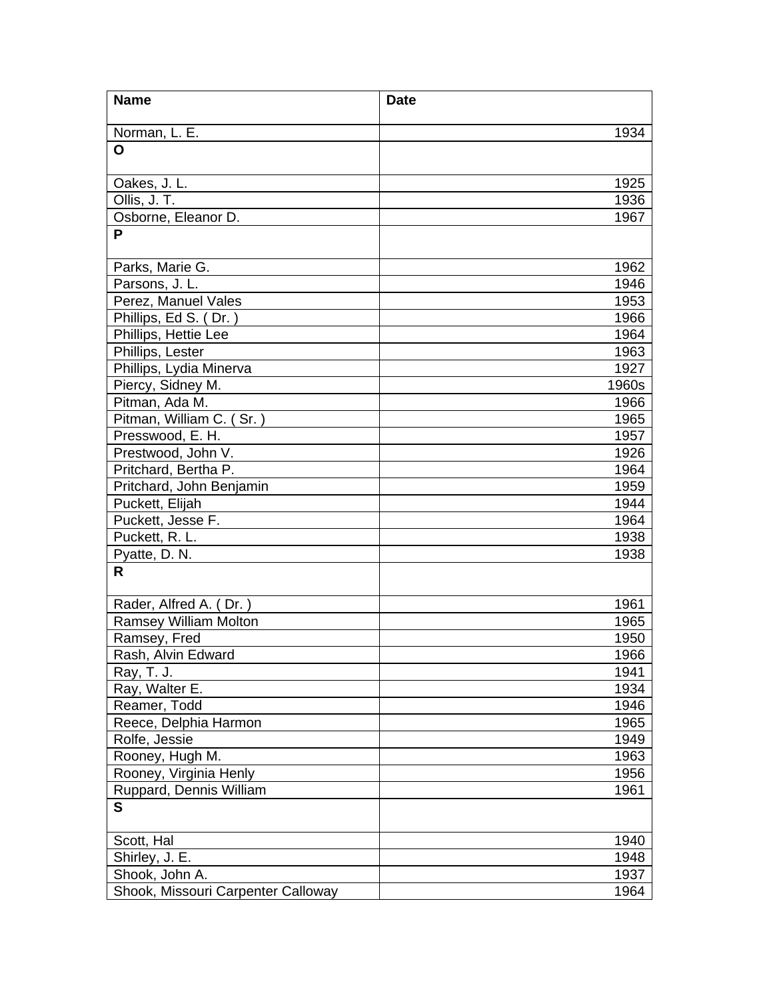| <b>Name</b>                          | <b>Date</b>  |
|--------------------------------------|--------------|
| Norman, L. E.                        | 1934         |
| O                                    |              |
|                                      |              |
| Oakes, J. L.                         | 1925         |
| Ollis, J. T.                         | 1936         |
| Osborne, Eleanor D.                  | 1967         |
| P                                    |              |
| Parks, Marie G.                      | 1962         |
| Parsons, J. L.                       | 1946         |
| Perez, Manuel Vales                  | 1953         |
| Phillips, Ed S. (Dr.)                | 1966         |
| Phillips, Hettie Lee                 | 1964         |
| Phillips, Lester                     | 1963         |
| Phillips, Lydia Minerva              | 1927         |
| Piercy, Sidney M.                    | 1960s        |
| Pitman, Ada M.                       | 1966         |
| Pitman, William C. (Sr.)             | 1965         |
| Presswood, E. H.                     | 1957         |
| Prestwood, John V.                   | 1926         |
| Pritchard, Bertha P.                 | 1964         |
| Pritchard, John Benjamin             | 1959         |
| Puckett, Elijah<br>Puckett, Jesse F. | 1944<br>1964 |
| Puckett, R. L.                       | 1938         |
| Pyatte, D. N.                        | 1938         |
| R                                    |              |
|                                      |              |
| Rader, Alfred A. (Dr.)               | 1961         |
| <b>Ramsey William Molton</b>         | 1965         |
| Ramsey, Fred                         | 1950         |
| Rash, Alvin Edward                   | 1966         |
| Ray, T. J.                           | 1941         |
| Ray, Walter E.                       | 1934         |
| Reamer, Todd                         | 1946         |
| Reece, Delphia Harmon                | 1965         |
| Rolfe, Jessie                        | 1949         |
| Rooney, Hugh M.                      | 1963         |
| Rooney, Virginia Henly               | 1956         |
| Ruppard, Dennis William              | 1961         |
| $\mathbf{s}$                         |              |
| Scott, Hal                           | 1940         |
| Shirley, J. E.                       | 1948         |
| Shook, John A.                       | 1937         |
| Shook, Missouri Carpenter Calloway   | 1964         |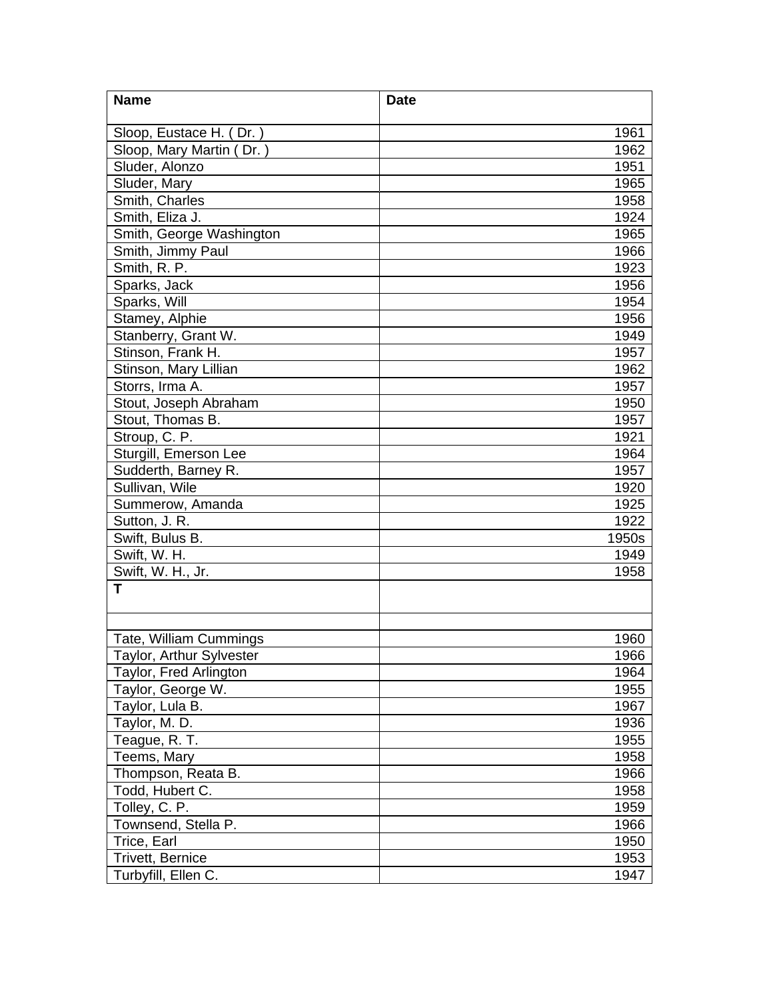| <b>Name</b>                   | <b>Date</b> |
|-------------------------------|-------------|
| Sloop, Eustace H. (Dr.)       | 1961        |
| Sloop, Mary Martin (Dr.)      | 1962        |
| Sluder, Alonzo                | 1951        |
| Sluder, Mary                  | 1965        |
| Smith, Charles                | 1958        |
| Smith, Eliza J.               | 1924        |
| Smith, George Washington      | 1965        |
| Smith, Jimmy Paul             | 1966        |
| Smith, R. P.                  | 1923        |
| Sparks, Jack                  | 1956        |
| Sparks, Will                  | 1954        |
| Stamey, Alphie                | 1956        |
| Stanberry, Grant W.           | 1949        |
| Stinson, Frank H.             | 1957        |
| Stinson, Mary Lillian         | 1962        |
| Storrs, Irma A.               | 1957        |
| Stout, Joseph Abraham         | 1950        |
| Stout, Thomas B.              | 1957        |
| Stroup, C. P.                 | 1921        |
| Sturgill, Emerson Lee         | 1964        |
| Sudderth, Barney R.           | 1957        |
| Sullivan, Wile                | 1920        |
| Summerow, Amanda              | 1925        |
| Sutton, J. R.                 | 1922        |
| Swift, Bulus B.               | 1950s       |
| Swift, W. H.                  | 1949        |
| Swift, W. H., Jr.             | 1958        |
| т                             |             |
|                               |             |
|                               |             |
| <b>Tate, William Cummings</b> | 1960        |
| Taylor, Arthur Sylvester      | 1966        |
| Taylor, Fred Arlington        | 1964        |
| Taylor, George W.             | 1955        |
| Taylor, Lula B.               | 1967        |
| Taylor, M. D.                 | 1936        |
| Teague, R. T.                 | 1955        |
| Teems, Mary                   | 1958        |
| Thompson, Reata B.            | 1966        |
| Todd, Hubert C.               | 1958        |
| Tolley, C. P.                 | 1959        |
| Townsend, Stella P.           | 1966        |
| Trice, Earl                   | 1950        |
| Trivett, Bernice              | 1953        |
| Turbyfill, Ellen C.           | 1947        |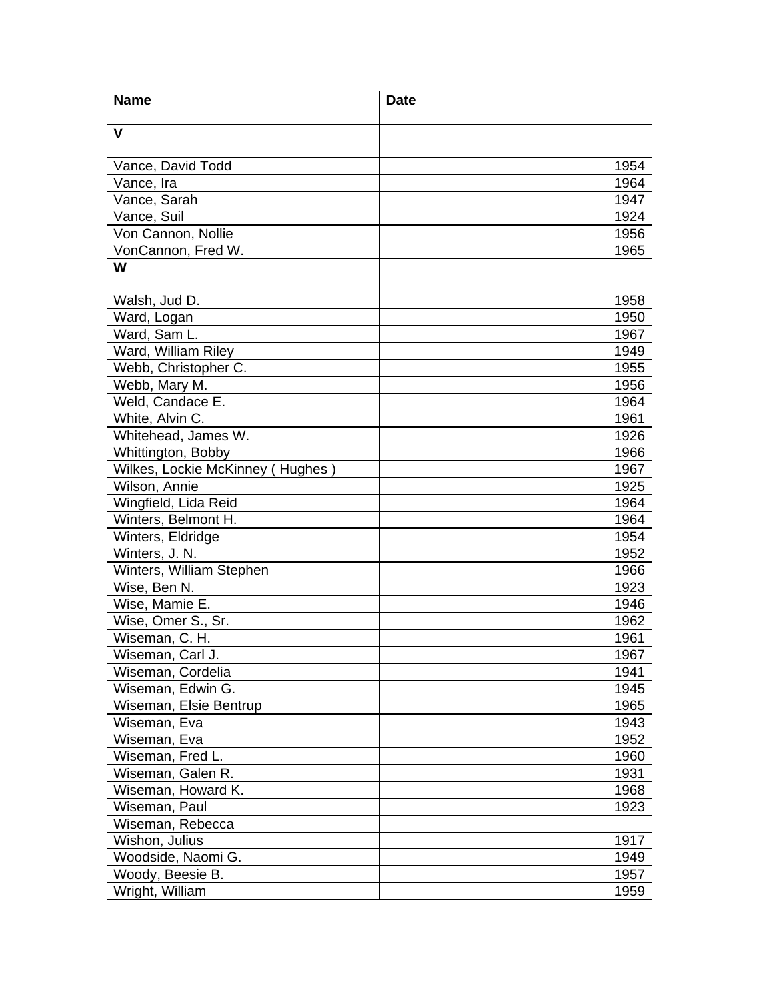| <b>Name</b>                      | <b>Date</b> |
|----------------------------------|-------------|
| $\mathbf{V}$                     |             |
|                                  |             |
| Vance, David Todd                | 1954        |
| Vance, Ira                       | 1964        |
| Vance, Sarah                     | 1947        |
| Vance, Suil                      | 1924        |
| Von Cannon, Nollie               | 1956        |
| VonCannon, Fred W.               | 1965        |
| W                                |             |
| Walsh, Jud D.                    | 1958        |
| Ward, Logan                      | 1950        |
| Ward, Sam L.                     | 1967        |
| Ward, William Riley              | 1949        |
| Webb, Christopher C.             | 1955        |
| Webb, Mary M.                    | 1956        |
| Weld, Candace E.                 | 1964        |
| White, Alvin C.                  | 1961        |
| Whitehead, James W.              | 1926        |
| Whittington, Bobby               | 1966        |
| Wilkes, Lockie McKinney (Hughes) | 1967        |
| Wilson, Annie                    | 1925        |
| Wingfield, Lida Reid             | 1964        |
| Winters, Belmont H.              | 1964        |
| Winters, Eldridge                | 1954        |
| Winters, J. N.                   | 1952        |
| Winters, William Stephen         | 1966        |
| Wise, Ben N.                     | 1923        |
| Wise, Mamie E.                   | 1946        |
| Wise, Omer S., Sr.               | 1962        |
| Wiseman, C. H.                   | 1961        |
| Wiseman, Carl J.                 | 1967        |
| Wiseman, Cordelia                | 1941        |
| Wiseman, Edwin G.                | 1945        |
| Wiseman, Elsie Bentrup           | 1965        |
| Wiseman, Eva                     | 1943        |
| Wiseman, Eva                     | 1952        |
| Wiseman, Fred L.                 | 1960        |
| Wiseman, Galen R.                | 1931        |
| Wiseman, Howard K.               | 1968        |
| Wiseman, Paul                    | 1923        |
| Wiseman, Rebecca                 |             |
| Wishon, Julius                   | 1917        |
| Woodside, Naomi G.               | 1949        |
| Woody, Beesie B.                 | 1957        |
| Wright, William                  | 1959        |